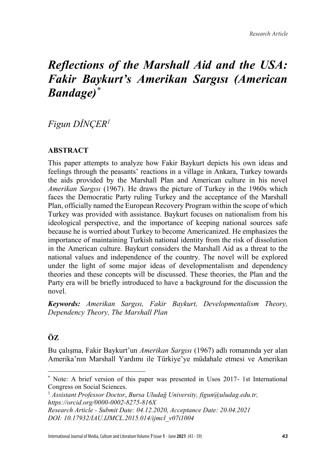# *Reflections of the Marshall Aid and the USA: Fakir Baykurt's Amerikan Sargısı (American Bandage)\**

# *Figun DİNÇER<sup>1</sup>*

# **ABSTRACT**

This paper attempts to analyze how Fakir Baykurt depicts his own ideas and feelings through the peasants' reactions in a village in Ankara, Turkey towards the aids provided by the Marshall Plan and American culture in his novel *Amerikan Sargısı* (1967). He draws the picture of Turkey in the 1960s which faces the Democratic Party ruling Turkey and the acceptance of the Marshall Plan, officially named the European Recovery Program within the scope of which Turkey was provided with assistance. Baykurt focuses on nationalism from his ideological perspective, and the importance of keeping national sources safe because he is worried about Turkey to become Americanized. He emphasizes the importance of maintaining Turkish national identity from the risk of dissolution in the American culture. Baykurt considers the Marshall Aid as a threat to the national values and independence of the country. The novel will be explored under the light of some major ideas of developmentalism and dependency theories and these concepts will be discussed. These theories, the Plan and the Party era will be briefly introduced to have a background for the discussion the novel.

*Keywords: Amerikan Sargısı, Fakir Baykurt, Developmentalism Theory, Dependency Theory, The Marshall Plan*

# **ÖZ**

 $\overline{\phantom{a}}$ 

Bu çalışma, Fakir Baykurt'un *Amerikan Sargısı* (1967) adlı romanında yer alan Amerika'nın Marshall Yardımı ile Türkiye'ye müdahale etmesi ve Amerikan

<sup>1</sup> *Assistant Professor Doctor*, *Bursa Uludağ University, figun@uludag.edu.tr, https://orcid.org/0000-0002-8275-816X Research Article - Submit Date: 04.12.2020, Acceptance Date: 20.04.2021 DOI: 10.17932/IAU.IJMCL.2015.014/ijmcl\_v07i1004*

International Journal of Media, Culture and Literature Volume **7** Issue **1** - June **2021** (43 - 59) *43*

<sup>\*</sup> Note: A brief version of this paper was presented in Usos 2017- 1st International Congress on Social Sciences.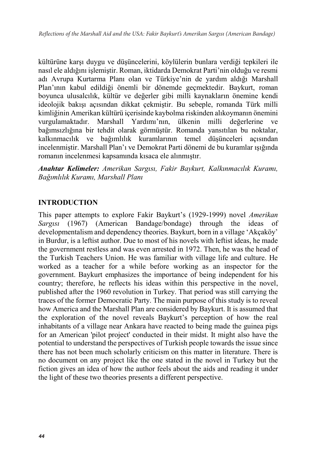kültürüne karşı duygu ve düşüncelerini, köylülerin bunlara verdiği tepkileri ile nasıl ele aldığını işlemiştir. Roman, iktidarda Demokrat Parti'nin olduğu ve resmi adı Avrupa Kurtarma Planı olan ve Türkiye'nin de yardım aldığı Marshall Plan'ının kabul edildiği önemli bir dönemde geçmektedir. Baykurt, roman boyunca ulusalcılık, kültür ve değerler gibi milli kaynakların önemine kendi ideolojik bakışı açısından dikkat çekmiştir. Bu sebeple, romanda Türk milli kimliğinin Amerikan kültürü içerisinde kaybolma riskinden alıkoymanın önemini vurgulamaktadır. Marshall Yardımı'nın, ülkenin milli değerlerine ve bağımsızlığına bir tehdit olarak görmüştür. Romanda yansıtılan bu noktalar, kalkınmacılık ve bağımlılık kuramlarının temel düşünceleri açısından incelenmiştir. Marshall Plan'ı ve Demokrat Parti dönemi de bu kuramlar ışığında romanın incelenmesi kapsamında kısaca ele alınmıştır.

*Anahtar Kelimeler: Amerikan Sargısı, Fakir Baykurt, Kalkınmacılık Kuramı, Bağımlılık Kuramı, Marshall Planı*

## **INTRODUCTION**

This paper attempts to explore Fakir Baykurt's (1929-1999) novel *Amerikan Sargısı* (1967) (American Bandage/bondage) through the ideas of developmentalism and dependency theories. Baykurt, born in a village 'Akçaköy' in Burdur, is a leftist author. Due to most of his novels with leftist ideas, he made the government restless and was even arrested in 1972. Then, he was the head of the Turkish Teachers Union. He was familiar with village life and culture. He worked as a teacher for a while before working as an inspector for the government. Baykurt emphasizes the importance of being independent for his country; therefore, he reflects his ideas within this perspective in the novel, published after the 1960 revolution in Turkey. That period was still carrying the traces of the former Democratic Party. The main purpose of this study is to reveal how America and the Marshall Plan are considered by Baykurt. It is assumed that the exploration of the novel reveals Baykurt's perception of how the real inhabitants of a village near Ankara have reacted to being made the guinea pigs for an American 'pilot project' conducted in their midst. It might also have the potential to understand the perspectives of Turkish people towards the issue since there has not been much scholarly criticism on this matter in literature. There is no document on any project like the one stated in the novel in Turkey but the fiction gives an idea of how the author feels about the aids and reading it under the light of these two theories presents a different perspective.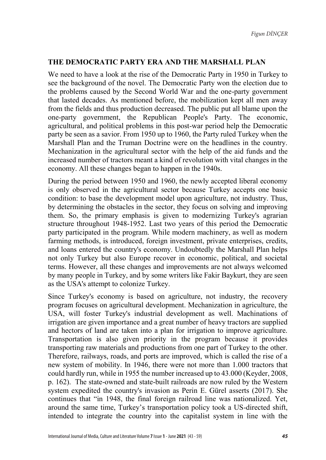#### **THE DEMOCRATIC PARTY ERA AND THE MARSHALL PLAN**

We need to have a look at the rise of the Democratic Party in 1950 in Turkey to see the background of the novel. The Democratic Party won the election due to the problems caused by the Second World War and the one-party government that lasted decades. As mentioned before, the mobilization kept all men away from the fields and thus production decreased. The public put all blame upon the one-party government, the Republican People's Party. The economic, agricultural, and political problems in this post-war period help the Democratic party be seen as a savior. From 1950 up to 1960, the Party ruled Turkey when the Marshall Plan and the Truman Doctrine were on the headlines in the country. Mechanization in the agricultural sector with the help of the aid funds and the increased number of tractors meant a kind of revolution with vital changes in the economy. All these changes began to happen in the 1940s.

During the period between 1950 and 1960, the newly accepted liberal economy is only observed in the agricultural sector because Turkey accepts one basic condition: to base the development model upon agriculture, not industry. Thus, by determining the obstacles in the sector, they focus on solving and improving them. So, the primary emphasis is given to modernizing Turkey's agrarian structure throughout 1948-1952. Last two years of this period the Democratic party participated in the program. While modern machinery, as well as modern farming methods, is introduced, foreign investment, private enterprises, credits, and loans entered the country's economy. Undoubtedly the Marshall Plan helps not only Turkey but also Europe recover in economic, political, and societal terms. However, all these changes and improvements are not always welcomed by many people in Turkey, and by some writers like Fakir Baykurt, they are seen as the USA's attempt to colonize Turkey.

Since Turkey's economy is based on agriculture, not industry, the recovery program focuses on agricultural development. Mechanization in agriculture, the USA, will foster Turkey's industrial development as well. Machinations of irrigation are given importance and a great number of heavy tractors are supplied and hectors of land are taken into a plan for irrigation to improve agriculture. Transportation is also given priority in the program because it provides transporting raw materials and productions from one part of Turkey to the other. Therefore, railways, roads, and ports are improved, which is called the rise of a new system of mobility. In 1946, there were not more than 1.000 tractors that could hardly run, while in 1955 the number increased up to 43.000 (Keyder, 2008, p. 162). The state-owned and state-built railroads are now ruled by the Western system expedited the country's invasion as Perin E. Gürel asserts (2017). She continues that "in 1948, the final foreign railroad line was nationalized. Yet, around the same time, Turkey's transportation policy took a US-directed shift, intended to integrate the country into the capitalist system in line with the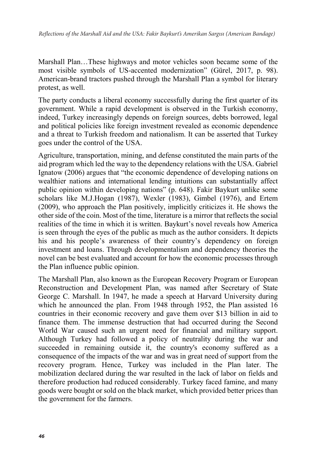Marshall Plan…These highways and motor vehicles soon became some of the most visible symbols of US-accented modernization" (Gürel, 2017, p. 98). American-brand tractors pushed through the Marshall Plan a symbol for literary protest, as well.

The party conducts a liberal economy successfully during the first quarter of its government. While a rapid development is observed in the Turkish economy, indeed, Turkey increasingly depends on foreign sources, debts borrowed, legal and political policies like foreign investment revealed as economic dependence and a threat to Turkish freedom and nationalism. It can be asserted that Turkey goes under the control of the USA.

Agriculture, transportation, mining, and defense constituted the main parts of the aid program which led the way to the dependency relations with the USA. Gabriel Ignatow (2006) argues that "the economic dependence of developing nations on wealthier nations and international lending intuitions can substantially affect public opinion within developing nations" (p. 648). Fakir Baykurt unlike some scholars like M.J.Hogan (1987), Wexler (1983), Gimbel (1976), and Ertem (2009), who approach the Plan positively, implicitly criticizes it. He shows the other side of the coin. Most of the time, literature is a mirror that reflects the social realities of the time in which it is written. Baykurt's novel reveals how America is seen through the eyes of the public as much as the author considers. It depicts his and his people's awareness of their country's dependency on foreign investment and loans. Through developmentalism and dependency theories the novel can be best evaluated and account for how the economic processes through the Plan influence public opinion.

The Marshall Plan, also known as the European Recovery Program or European Reconstruction and Development Plan, was named after Secretary of State George C. Marshall. In 1947, he made a speech at Harvard University during which he announced the plan. From 1948 through 1952, the Plan assisted 16 countries in their economic recovery and gave them over \$13 billion in aid to finance them. The immense destruction that had occurred during the Second World War caused such an urgent need for financial and military support. Although Turkey had followed a policy of neutrality during the war and succeeded in remaining outside it, the country's economy suffered as a consequence of the impacts of the war and was in great need of support from the recovery program. Hence, Turkey was included in the Plan later. The mobilization declared during the war resulted in the lack of labor on fields and therefore production had reduced considerably. Turkey faced famine, and many goods were bought or sold on the black market, which provided better prices than the government for the farmers.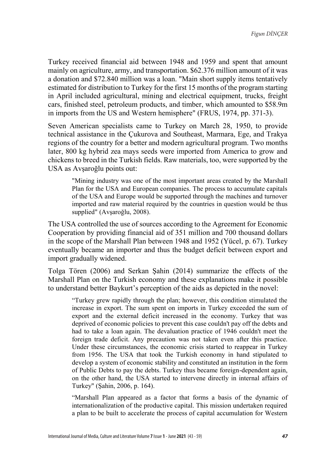Turkey received financial aid between 1948 and 1959 and spent that amount mainly on agriculture, army, and transportation. \$62.376 million amount of it was a donation and \$72.840 million was a loan. "Main short supply items tentatively estimated for distribution to Turkey for the first 15 months of the program starting in April included agricultural, mining and electrical equipment, trucks, freight cars, finished steel, petroleum products, and timber, which amounted to \$58.9m in imports from the US and Western hemisphere" (FRUS, 1974, pp. 371-3).

Seven American specialists came to Turkey on March 28, 1950, to provide technical assistance in the Çukurova and Southeast, Marmara, Ege, and Trakya regions of the country for a better and modern agricultural program. Two months later, 800 kg hybrid zea mays seeds were imported from America to grow and chickens to breed in the Turkish fields. Raw materials, too, were supported by the USA as Avşaroğlu points out:

"Mining industry was one of the most important areas created by the Marshall Plan for the USA and European companies. The process to accumulate capitals of the USA and Europe would be supported through the machines and turnover imported and raw material required by the countries in question would be thus supplied" (Avşaroğlu, 2008).

The USA controlled the use of sources according to the Agreement for Economic Cooperation by providing financial aid of 351 million and 700 thousand dollars in the scope of the Marshall Plan between 1948 and 1952 (Yücel, p. 67). Turkey eventually became an importer and thus the budget deficit between export and import gradually widened.

Tolga Tören (2006) and Serkan Şahin (2014) summarize the effects of the Marshall Plan on the Turkish economy and these explanations make it possible to understand better Baykurt's perception of the aids as depicted in the novel:

"Turkey grew rapidly through the plan; however, this condition stimulated the increase in export. The sum spent on imports in Turkey exceeded the sum of export and the external deficit increased in the economy. Turkey that was deprived of economic policies to prevent this case couldn't pay off the debts and had to take a loan again. The devaluation practice of 1946 couldn't meet the foreign trade deficit. Any precaution was not taken even after this practice. Under these circumstances, the economic crisis started to reappear in Turkey from 1956. The USA that took the Turkish economy in hand stipulated to develop a system of economic stability and constituted an institution in the form of Public Debts to pay the debts. Turkey thus became foreign-dependent again, on the other hand, the USA started to intervene directly in internal affairs of Turkey" (Şahin, 2006, p. 164).

"Marshall Plan appeared as a factor that forms a basis of the dynamic of internationalization of the productive capital. This mission undertaken required a plan to be built to accelerate the process of capital accumulation for Western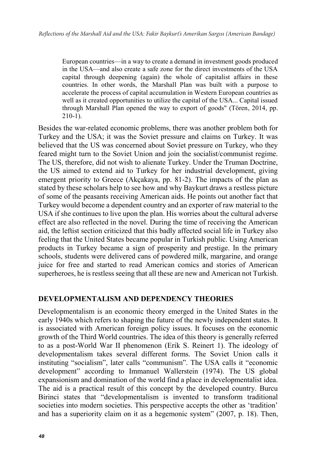European countries—in a way to create a demand in investment goods produced in the USA—and also create a safe zone for the direct investments of the USA capital through deepening (again) the whole of capitalist affairs in these countries. In other words, the Marshall Plan was built with a purpose to accelerate the process of capital accumulation in Western European countries as well as it created opportunities to utilize the capital of the USA... Capital issued through Marshall Plan opened the way to export of goods" (Tören, 2014, pp. 210-1).

Besides the war-related economic problems, there was another problem both for Turkey and the USA; it was the Soviet pressure and claims on Turkey. It was believed that the US was concerned about Soviet pressure on Turkey, who they feared might turn to the Soviet Union and join the socialist/communist regime. The US, therefore, did not wish to alienate Turkey. Under the Truman Doctrine, the US aimed to extend aid to Turkey for her industrial development, giving emergent priority to Greece (Akçakaya, pp. 81-2). The impacts of the plan as stated by these scholars help to see how and why Baykurt draws a restless picture of some of the peasants receiving American aids. He points out another fact that Turkey would become a dependent country and an exporter of raw material to the USA if she continues to live upon the plan. His worries about the cultural adverse effect are also reflected in the novel. During the time of receiving the American aid, the leftist section criticized that this badly affected social life in Turkey also feeling that the United States became popular in Turkish public. Using American products in Turkey became a sign of prosperity and prestige. In the primary schools, students were delivered cans of powdered milk, margarine, and orange juice for free and started to read American comics and stories of American superheroes, he is restless seeing that all these are new and American not Turkish.

#### **DEVELOPMENTALISM AND DEPENDENCY THEORIES**

Developmentalism is an economic theory emerged in the United States in the early 1940s which refers to shaping the future of the newly independent states. It is associated with American foreign policy issues. It focuses on the economic growth of the Third World countries. The idea of this theory is generally referred to as a post-World War II phenomenon (Erik S. Reinert 1). The ideology of developmentalism takes several different forms. The Soviet Union calls it instituting "socialism", later calls "communism". The USA calls it "economic development" according to Immanuel Wallerstein (1974). The US global expansionism and domination of the world find a place in developmentalist idea. The aid is a practical result of this concept by the developed country. Burcu Birinci states that "developmentalism is invented to transform traditional societies into modern societies. This perspective accepts the other as 'tradition' and has a superiority claim on it as a hegemonic system" (2007, p. 18). Then,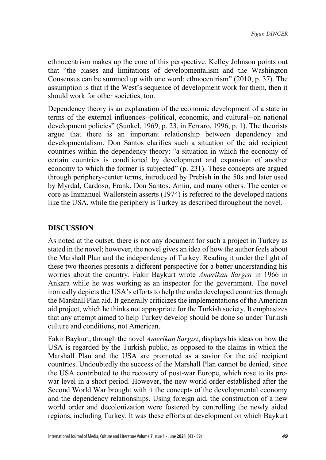ethnocentrism makes up the core of this perspective. Kelley Johnson points out that "the biases and limitations of developmentalism and the Washington Consensus can be summed up with one word: ethnocentrism" (2010, p. 37). The assumption is that if the West's sequence of development work for them, then it should work for other societies, too.

Dependency theory is an explanation of the economic development of a state in terms of the external influences--political, economic, and cultural--on national development policies" (Sunkel, 1969, p. 23, in Ferraro, 1996, p. 1). The theorists argue that there is an important relationship between dependency and developmentalism. Don Santos clarifies such a situation of the aid recipient countries within the dependency theory: "a situation in which the economy of certain countries is conditioned by development and expansion of another economy to which the former is subjected" (p. 231). These concepts are argued through periphery-center terms, introduced by Prebish in the 50s and later used by Myrdal, Cardoso, Frank, Don Santos, Amin, and many others. The center or core as Immanuel Wallerstein asserts (1974) is referred to the developed nations like the USA, while the periphery is Turkey as described throughout the novel.

## **DISCUSSION**

As noted at the outset, there is not any document for such a project in Turkey as stated in the novel; however, the novel gives an idea of how the author feels about the Marshall Plan and the independency of Turkey. Reading it under the light of these two theories presents a different perspective for a better understanding his worries about the country. Fakir Baykurt wrote *Amerikan Sargısı* in 1966 in Ankara while he was working as an inspector for the government. The novel ironically depicts the USA's efforts to help the underdeveloped countries through the Marshall Plan aid. It generally criticizes the implementations of the American aid project, which he thinks not appropriate for the Turkish society. It emphasizes that any attempt aimed to help Turkey develop should be done so under Turkish culture and conditions, not American.

Fakir Baykurt, through the novel *Amerikan Sargısı*, displays his ideas on how the USA is regarded by the Turkish public, as opposed to the claims in which the Marshall Plan and the USA are promoted as a savior for the aid recipient countries. Undoubtedly the success of the Marshall Plan cannot be denied, since the USA contributed to the recovery of post-war Europe, which rose to its prewar level in a short period. However, the new world order established after the Second World War brought with it the concepts of the developmental economy and the dependency relationships. Using foreign aid, the construction of a new world order and decolonization were fostered by controlling the newly aided regions, including Turkey. It was these efforts at development on which Baykurt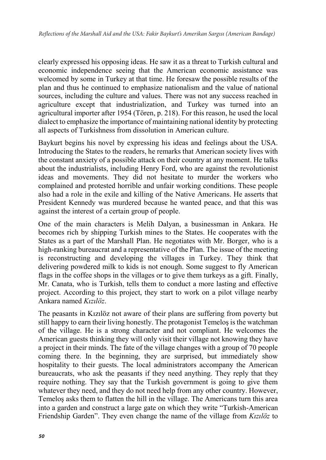clearly expressed his opposing ideas. He saw it as a threat to Turkish cultural and economic independence seeing that the American economic assistance was welcomed by some in Turkey at that time. He foresaw the possible results of the plan and thus he continued to emphasize nationalism and the value of national sources, including the culture and values. There was not any success reached in agriculture except that industrialization, and Turkey was turned into an agricultural importer after 1954 (Tören, p. 218). For this reason, he used the local dialect to emphasize the importance of maintaining national identity by protecting all aspects of Turkishness from dissolution in American culture.

Baykurt begins his novel by expressing his ideas and feelings about the USA. Introducing the States to the readers, he remarks that American society lives with the constant anxiety of a possible attack on their country at any moment. He talks about the industrialists, including Henry Ford, who are against the revolutionist ideas and movements. They did not hesitate to murder the workers who complained and protested horrible and unfair working conditions. These people also had a role in the exile and killing of the Native Americans. He asserts that President Kennedy was murdered because he wanted peace, and that this was against the interest of a certain group of people.

One of the main characters is Melih Dalyan, a businessman in Ankara. He becomes rich by shipping Turkish mines to the States. He cooperates with the States as a part of the Marshall Plan. He negotiates with Mr. Borger, who is a high-ranking bureaucrat and a representative of the Plan. The issue of the meeting is reconstructing and developing the villages in Turkey. They think that delivering powdered milk to kids is not enough. Some suggest to fly American flags in the coffee shops in the villages or to give them turkeys as a gift. Finally, Mr. Canata, who is Turkish, tells them to conduct a more lasting and effective project. According to this project, they start to work on a pilot village nearby Ankara named *Kızılöz*.

The peasants in Kızılöz not aware of their plans are suffering from poverty but still happy to earn their living honestly. The protagonist Temeloş is the watchman of the village. He is a strong character and not compliant. He welcomes the American guests thinking they will only visit their village not knowing they have a project in their minds. The fate of the village changes with a group of 70 people coming there. In the beginning, they are surprised, but immediately show hospitality to their guests. The local administrators accompany the American bureaucrats, who ask the peasants if they need anything. They reply that they require nothing. They say that the Turkish government is going to give them whatever they need, and they do not need help from any other country. However, Temeloş asks them to flatten the hill in the village. The Americans turn this area into a garden and construct a large gate on which they write "Turkish-American Friendship Garden". They even change the name of the village from *Kızılöz* to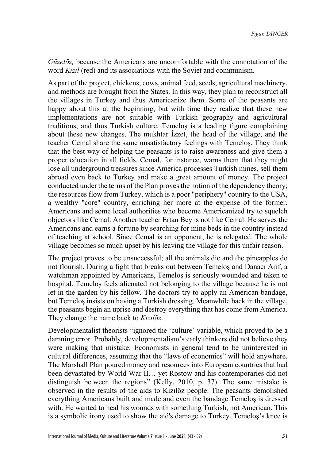*Güzelöz,* because the Americans are uncomfortable with the connotation of the word *Kızıl* (red) and its associations with the Soviet and communism.

As part of the project, chickens, cows, animal feed, seeds, agricultural machinery, and methods are brought from the States. In this way, they plan to reconstruct all the villages in Turkey and thus Americanize them. Some of the peasants are happy about this at the beginning, but with time they realize that these new implementations are not suitable with Turkish geography and agricultural traditions, and thus Turkish culture. Temeloş is a leading figure complaining about these new changes. The mukhtar İzzet, the head of the village, and the teacher Cemal share the same unsatisfactory feelings with Temeloş. They think that the best way of helping the peasants is to raise awareness and give them a proper education in all fields. Cemal, for instance, warns them that they might lose all underground treasures since America processes Turkish mines, sell them abroad even back to Turkey and make a great amount of money. The project conducted under the terms of the Plan proves the notion of the dependency theory; the resources flow from Turkey, which is a poor "periphery" country to the USA, a wealthy "core" country, enriching her more at the expense of the former. Americans and some local authorities who become Americanized try to squelch objectors like Cemal. Another teacher Ertan Bey is not like Cemal. He serves the Americans and earns a fortune by searching for mine beds in the country instead of teaching at school. Since Cemal is an opponent, he is relegated. The whole village becomes so much upset by his leaving the village for this unfair reason.

The project proves to be unsuccessful; all the animals die and the pineapples do not flourish. During a fight that breaks out between Temeloş and Danacı Arif, a watchman appointed by Americans, Temeloş is seriously wounded and taken to hospital. Temeloş feels alienated not belonging to the village because he is not let in the garden by his fellow. The doctors try to apply an American bandage, but Temeloş insists on having a Turkish dressing. Meanwhile back in the village, the peasants begin an uprise and destroy everything that has come from America. They change the name back to *Kızılöz*.

Developmentalist theorists "ignored the 'culture' variable, which proved to be a damning error. Probably, developmentalism's early thinkers did not believe they were making that mistake. Economists in general tend to be uninterested in cultural differences, assuming that the "laws of economics" will hold anywhere. The Marshall Plan poured money and resources into European countries that had been devastated by World War II… yet Rostow and his contemporaries did not distinguish between the regions" (Kelly, 2010, p. 37). The same mistake is observed in the results of the aids to Kızılöz people. The peasants demolished everything Americans built and made and even the bandage Temeloş is dressed with. He wanted to heal his wounds with something Turkish, not American. This is a symbolic irony used to show the aid's damage to Turkey. Temeloş's knee is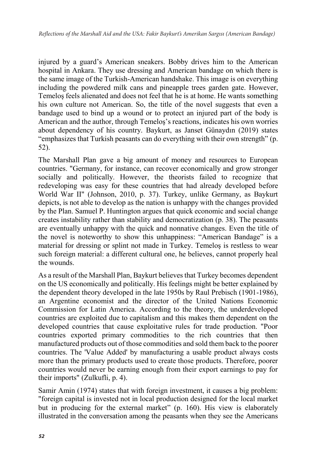injured by a guard's American sneakers. Bobby drives him to the American hospital in Ankara. They use dressing and American bandage on which there is the same image of the Turkish-American handshake. This image is on everything including the powdered milk cans and pineapple trees garden gate. However, Temeloş feels alienated and does not feel that he is at home. He wants something his own culture not American. So, the title of the novel suggests that even a bandage used to bind up a wound or to protect an injured part of the body is American and the author, through Temeloş's reactions, indicates his own worries about dependency of his country. Baykurt, as Janset Günaydın (2019) states "emphasizes that Turkish peasants can do everything with their own strength" (p. 52).

The Marshall Plan gave a big amount of money and resources to European countries. "Germany, for instance, can recover economically and grow stronger socially and politically. However, the theorists failed to recognize that redeveloping was easy for these countries that had already developed before World War II" (Johnson, 2010, p. 37). Turkey, unlike Germany, as Baykurt depicts, is not able to develop as the nation is unhappy with the changes provided by the Plan. Samuel P. Huntington argues that quick economic and social change creates instability rather than stability and democratization (p. 38). The peasants are eventually unhappy with the quick and nonnative changes. Even the title of the novel is noteworthy to show this unhappiness: "American Bandage" is a material for dressing or splint not made in Turkey. Temeloş is restless to wear such foreign material: a different cultural one, he believes, cannot properly heal the wounds.

As a result of the Marshall Plan, Baykurt believes that Turkey becomes dependent on the US economically and politically. His feelings might be better explained by the dependent theory developed in the late 1950s by Raul Prebisch (1901-1986), an Argentine economist and the director of the United Nations Economic Commission for Latin America. According to the theory, the underdeveloped countries are exploited due to capitalism and this makes them dependent on the developed countries that cause exploitative rules for trade production. "Poor countries exported primary commodities to the rich countries that then manufactured products out of those commodities and sold them back to the poorer countries. The 'Value Added' by manufacturing a usable product always costs more than the primary products used to create those products. Therefore, poorer countries would never be earning enough from their export earnings to pay for their imports" (Zulkufli, p. 4).

Samir Amin (1974) states that with foreign investment, it causes a big problem: "foreign capital is invested not in local production designed for the local market but in producing for the external market" (p. 160). His view is elaborately illustrated in the conversation among the peasants when they see the Americans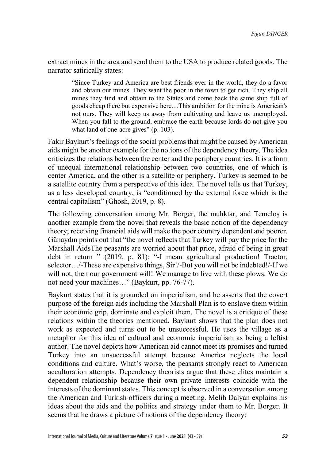extract mines in the area and send them to the USA to produce related goods. The narrator satirically states:

"Since Turkey and America are best friends ever in the world, they do a favor and obtain our mines. They want the poor in the town to get rich. They ship all mines they find and obtain to the States and come back the same ship full of goods cheap there but expensive here…This ambition for the mine is American's not ours. They will keep us away from cultivating and leave us unemployed. When you fall to the ground, embrace the earth because lords do not give you what land of one-acre gives" (p. 103).

Fakir Baykurt's feelings of the social problems that might be caused by American aids might be another example for the notions of the dependency theory. The idea criticizes the relations between the center and the periphery countries. It is a form of unequal international relationship between two countries, one of which is center America, and the other is a satellite or periphery. Turkey is seemed to be a satellite country from a perspective of this idea. The novel tells us that Turkey, as a less developed country, is "conditioned by the external force which is the central capitalism" (Ghosh, 2019, p. 8).

The following conversation among Mr. Borger, the muhktar, and Temeloş is another example from the novel that reveals the basic notion of the dependency theory; receiving financial aids will make the poor country dependent and poorer. Günaydın points out that "the novel reflects that Turkey will pay the price for the Marshall AidsThe peasants are worried about that price, afraid of being in great debt in return " (2019, p. 81): "-I mean agricultural production! Tractor, selector…/-These are expensive things, Sir!/-But you will not be indebted!/-If we will not, then our government will! We manage to live with these plows. We do not need your machines…" (Baykurt, pp. 76-77).

Baykurt states that it is grounded on imperialism, and he asserts that the covert purpose of the foreign aids including the Marshall Plan is to enslave them within their economic grip, dominate and exploit them. The novel is a critique of these relations within the theories mentioned. Baykurt shows that the plan does not work as expected and turns out to be unsuccessful. He uses the village as a metaphor for this idea of cultural and economic imperialism as being a leftist author. The novel depicts how American aid cannot meet its promises and turned Turkey into an unsuccessful attempt because America neglects the local conditions and culture. What's worse, the peasants strongly react to American acculturation attempts. Dependency theorists argue that these elites maintain a dependent relationship because their own private interests coincide with the interests of the dominant states. This concept is observed in a conversation among the American and Turkish officers during a meeting. Melih Dalyan explains his ideas about the aids and the politics and strategy under them to Mr. Borger. It seems that he draws a picture of notions of the dependency theory: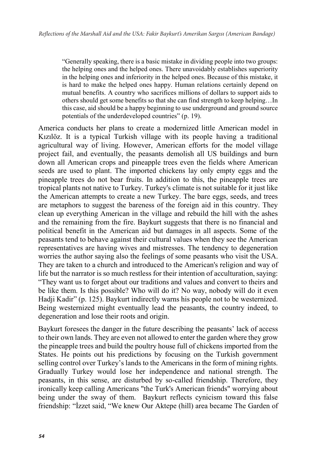"Generally speaking, there is a basic mistake in dividing people into two groups: the helping ones and the helped ones. There unavoidably establishes superiority in the helping ones and inferiority in the helped ones. Because of this mistake, it is hard to make the helped ones happy. Human relations certainly depend on mutual benefits. A country who sacrifices millions of dollars to support aids to others should get some benefits so that she can find strength to keep helping…In this case, aid should be a happy beginning to use underground and ground source potentials of the underdeveloped countries" (p. 19).

America conducts her plans to create a modernized little American model in Kızılöz. It is a typical Turkish village with its people having a traditional agricultural way of living. However, American efforts for the model village project fail, and eventually, the peasants demolish all US buildings and burn down all American crops and pineapple trees even the fields where American seeds are used to plant. The imported chickens lay only empty eggs and the pineapple trees do not bear fruits. In addition to this, the pineapple trees are tropical plants not native to Turkey. Turkey's climate is not suitable for it just like the American attempts to create a new Turkey. The bare eggs, seeds, and trees are metaphors to suggest the bareness of the foreign aid in this country. They clean up everything American in the village and rebuild the hill with the ashes and the remaining from the fire. Baykurt suggests that there is no financial and political benefit in the American aid but damages in all aspects. Some of the peasants tend to behave against their cultural values when they see the American representatives are having wives and mistresses. The tendency to degeneration worries the author saying also the feelings of some peasants who visit the USA. They are taken to a church and introduced to the American's religion and way of life but the narrator is so much restless for their intention of acculturation, saying: "They want us to forget about our traditions and values and convert to theirs and be like them. Is this possible? Who will do it? No way, nobody will do it even Hadji Kadir" (p. 125). Baykurt indirectly warns his people not to be westernized. Being westernized might eventually lead the peasants, the country indeed, to degeneration and lose their roots and origin.

Baykurt foresees the danger in the future describing the peasants' lack of access to their own lands. They are even not allowed to enter the garden where they grow the pineapple trees and build the poultry house full of chickens imported from the States. He points out his predictions by focusing on the Turkish government selling control over Turkey's lands to the Americans in the form of mining rights. Gradually Turkey would lose her independence and national strength. The peasants, in this sense, are disturbed by so-called friendship. Therefore, they ironically keep calling Americans "the Turk's American friends" worrying about being under the sway of them. Baykurt reflects cynicism toward this false friendship: "İzzet said, "We knew Our Aktepe (hill) area became The Garden of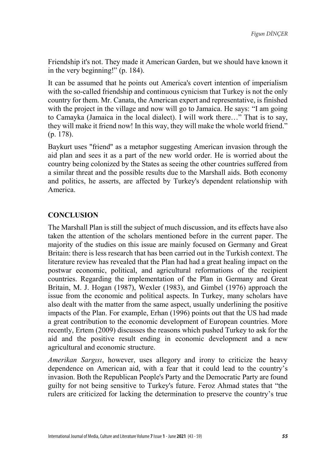Friendship it's not. They made it American Garden, but we should have known it in the very beginning!" (p. 184).

It can be assumed that he points out America's covert intention of imperialism with the so-called friendship and continuous cynicism that Turkey is not the only country for them. Mr. Canata, the American expert and representative, is finished with the project in the village and now will go to Jamaica. He says: "I am going to Camayka (Jamaica in the local dialect). I will work there…" That is to say, they will make it friend now! In this way, they will make the whole world friend." (p. 178).

Baykurt uses "friend" as a metaphor suggesting American invasion through the aid plan and sees it as a part of the new world order. He is worried about the country being colonized by the States as seeing the other countries suffered from a similar threat and the possible results due to the Marshall aids. Both economy and politics, he asserts, are affected by Turkey's dependent relationship with America.

## **CONCLUSION**

The Marshall Plan is still the subject of much discussion, and its effects have also taken the attention of the scholars mentioned before in the current paper. The majority of the studies on this issue are mainly focused on Germany and Great Britain: there is less research that has been carried out in the Turkish context. The literature review has revealed that the Plan had had a great healing impact on the postwar economic, political, and agricultural reformations of the recipient countries. Regarding the implementation of the Plan in Germany and Great Britain, M. J. Hogan (1987), Wexler (1983), and Gimbel (1976) approach the issue from the economic and political aspects. In Turkey, many scholars have also dealt with the matter from the same aspect, usually underlining the positive impacts of the Plan. For example, Erhan (1996) points out that the US had made a great contribution to the economic development of European countries. More recently, Ertem (2009) discusses the reasons which pushed Turkey to ask for the aid and the positive result ending in economic development and a new agricultural and economic structure.

*Amerikan Sargısı*, however, uses allegory and irony to criticize the heavy dependence on American aid, with a fear that it could lead to the country's invasion. Both the Republican People's Party and the Democratic Party are found guilty for not being sensitive to Turkey's future. Feroz Ahmad states that "the rulers are criticized for lacking the determination to preserve the country's true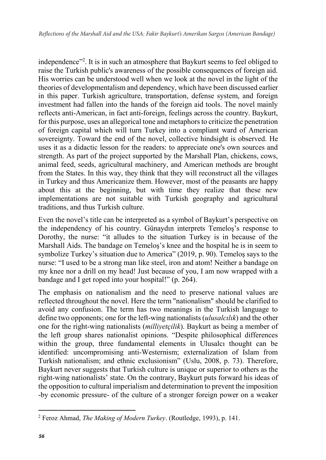independence"<sup>2</sup>. It is in such an atmosphere that Baykurt seems to feel obliged to raise the Turkish public's awareness of the possible consequences of foreign aid. His worries can be understood well when we look at the novel in the light of the theories of developmentalism and dependency, which have been discussed earlier in this paper. Turkish agriculture, transportation, defense system, and foreign investment had fallen into the hands of the foreign aid tools. The novel mainly reflects anti-American, in fact anti-foreign, feelings across the country. Baykurt, for this purpose, uses an allegorical tone and metaphors to criticize the penetration of foreign capital which will turn Turkey into a compliant ward of American sovereignty. Toward the end of the novel, collective hindsight is observed. He uses it as a didactic lesson for the readers: to appreciate one's own sources and strength. As part of the project supported by the Marshall Plan, chickens, cows, animal feed, seeds, agricultural machinery, and American methods are brought from the States. In this way, they think that they will reconstruct all the villages in Turkey and thus Americanize them. However, most of the peasants are happy about this at the beginning, but with time they realize that these new implementations are not suitable with Turkish geography and agricultural traditions, and thus Turkish culture.

Even the novel's title can be interpreted as a symbol of Baykurt's perspective on the independency of his country. Günaydın interprets Temeloş's response to Dorothy, the nurse: "it alludes to the situation Turkey is in because of the Marshall Aids. The bandage on Temeloş's knee and the hospital he is in seem to symbolize Turkey's situation due to America" (2019, p. 90). Temeloş says to the nurse: "I used to be a strong man like steel, iron and atom! Neither a bandage on my knee nor a drill on my head! Just because of you, I am now wrapped with a bandage and I get roped into your hospital!" (p. 264).

The emphasis on nationalism and the need to preserve national values are reflected throughout the novel. Here the term "nationalism" should be clarified to avoid any confusion. The term has two meanings in the Turkish language to define two opponents; one for the left-wing nationalists (*ulusalcılık*) and the other one for the right-wing nationalists (*milliyetçilik*). Baykurt as being a member of the left group shares nationalist opinions. "Despite philosophical differences within the group, three fundamental elements in Ulusalcı thought can be identified: uncompromising anti‐Westernism; externalization of Islam from Turkish nationalism; and ethnic exclusionism" (Uslu, 2008, p. 73). Therefore, Baykurt never suggests that Turkish culture is unique or superior to others as the right-wing nationalists' state. On the contrary, Baykurt puts forward his ideas of the opposition to cultural imperialism and determination to prevent the imposition -by economic pressure- of the culture of a stronger foreign power on a weaker

 $\overline{\phantom{a}}$ <sup>2</sup> Feroz Ahmad, *The Making of Modern Turkey*. (Routledge, 1993), p. 141.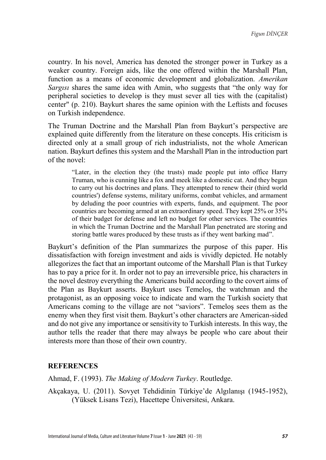country. In his novel, America has denoted the stronger power in Turkey as a weaker country. Foreign aids, like the one offered within the Marshall Plan, function as a means of economic development and globalization. *Amerikan Sargisi* shares the same idea with Amin, who suggests that "the only way for peripheral societies to develop is they must sever all ties with the (capitalist) center" (p. 210). Baykurt shares the same opinion with the Leftists and focuses on Turkish independence.

The Truman Doctrine and the Marshall Plan from Baykurt's perspective are explained quite differently from the literature on these concepts. His criticism is directed only at a small group of rich industrialists, not the whole American nation. Baykurt defines this system and the Marshall Plan in the introduction part of the novel:

"Later, in the election they (the trusts) made people put into office Harry Truman, who is cunning like a fox and meek like a domestic cat. And they began to carry out his doctrines and plans. They attempted to renew their (third world countries') defense systems, military uniforms, combat vehicles, and armament by deluding the poor countries with experts, funds, and equipment. The poor countries are becoming armed at an extraordinary speed. They kept 25% or 35% of their budget for defense and left no budget for other services. The countries in which the Truman Doctrine and the Marshall Plan penetrated are storing and storing battle wares produced by these trusts as if they went barking mad".

Baykurt's definition of the Plan summarizes the purpose of this paper. His dissatisfaction with foreign investment and aids is vividly depicted. He notably allegorizes the fact that an important outcome of the Marshall Plan is that Turkey has to pay a price for it. In order not to pay an irreversible price, his characters in the novel destroy everything the Americans build according to the covert aims of the Plan as Baykurt asserts. Baykurt uses Temeloş, the watchman and the protagonist, as an opposing voice to indicate and warn the Turkish society that Americans coming to the village are not "saviors". Temeloş sees them as the enemy when they first visit them. Baykurt's other characters are American-sided and do not give any importance or sensitivity to Turkish interests. In this way, the author tells the reader that there may always be people who care about their interests more than those of their own country.

#### **REFERENCES**

Ahmad, F. (1993). *The Making of Modern Turkey*. Routledge.

Akçakaya, U. (2011). Sovyet Tehdidinin Türkiye'de Algılanışı (1945-1952), (Yüksek Lisans Tezi), Hacettepe Üniversitesi, Ankara.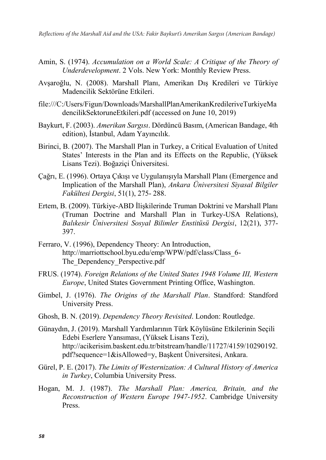- Amin, S. (1974). *Accumulation on a World Scale: A Critique of the Theory of Underdevelopment*. 2 Vols. New York: Monthly Review Press.
- Avşaroğlu, N. (2008). Marshall Planı, Amerikan Dış Kredileri ve Türkiye Madencilik Sektörüne Etkileri.
- file:///C:/Users/Figun/Downloads/MarshallPlanAmerikanKredileriveTurkiyeMa dencilikSektoruneEtkileri.pdf (accessed on June 10, 2019)
- Baykurt, F. (2003). *Amerikan Sargısı*. Dördüncü Basım, (American Bandage, 4th edition), İstanbul, Adam Yayıncılık.
- Birinci, B. (2007). The Marshall Plan in Turkey, a Critical Evaluation of United States' Interests in the Plan and its Effects on the Republic, (Yüksek Lisans Tezi). Boğaziçi Üniversitesi.
- Çağrı, E. (1996). Ortaya Çıkışı ve Uygulanışıyla Marshall Planı (Emergence and Implication of the Marshall Plan), *Ankara Üniversitesi Siyasal Bilgiler Fakültesi Dergisi*, 51(1), 275- 288.
- Ertem, B. (2009). Türkiye-ABD İlişkilerinde Truman Doktrini ve Marshall Planı (Truman Doctrine and Marshall Plan in Turkey-USA Relations), *Balıkesir Üniversitesi Sosyal Bilimler Enstitüsü Dergisi*, 12(21), 377- 397.
- Ferraro, V. (1996), Dependency Theory: An Introduction, http://marriottschool.byu.edu/emp/WPW/pdf/class/Class\_6- The Dependency Perspective.pdf
- FRUS. (1974). *Foreign Relations of the United States 1948 Volume III, Western Europe*, United States Government Printing Office, Washington.
- Gimbel, J. (1976). *The Origins of the Marshall Plan*. Standford: Standford University Press.
- Ghosh, B. N. (2019). *Dependency Theory Revisited*. London: Routledge.
- Günaydın, J. (2019). Marshall Yardımlarının Türk Köylüsüne Etkilerinin Seçili Edebi Eserlere Yansıması, (Yüksek Lisans Tezi), http://acikerisim.baskent.edu.tr/bitstream/handle/11727/4159/10290192. pdf?sequence=1&isAllowed=y, Başkent Üniversitesi, Ankara.
- Gürel, P. E. (2017). *The Limits of Westernization: A Cultural History of America in Turkey*, Columbia University Press.
- Hogan, M. J. (1987). *The Marshall Plan: America, Britain, and the Reconstruction of Western Europe 1947-1952*. Cambridge University Press.